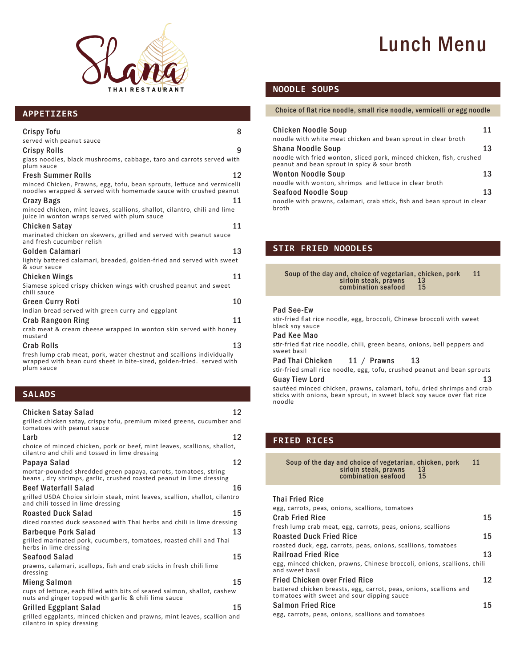

# Lunch Menu

# **NOODLE SOUPS**

### Choice of flat rice noodle, small rice noodle, vermicelli or egg noodle

| <b>Chicken Noodle Soup</b><br>noodle with white meat chicken and bean sprout in clear broth                          | 11 |
|----------------------------------------------------------------------------------------------------------------------|----|
| <b>Shana Noodle Soup</b>                                                                                             | 13 |
| noodle with fried wonton, sliced pork, minced chicken, fish, crushed<br>peanut and bean sprout in spicy & sour broth |    |
| <b>Wonton Noodle Soup</b>                                                                                            | 13 |
| noodle with wonton, shrimps and lettuce in clear broth                                                               |    |
| <b>Seafood Noodle Soup</b>                                                                                           | 13 |
| noodle with prawns, calamari, crab stick, fish and bean sprout in clear<br>broth                                     |    |

# **STIR FRIED NOODLES**

| Soup of the day and, choice of vegetarian, chicken, pork<br>sirloin steak, prawns<br>combination seafood<br><b>15</b> | <b>11</b> |
|-----------------------------------------------------------------------------------------------------------------------|-----------|
|                                                                                                                       |           |

### Pad See-Ew

stir-fried flat rice noodle, egg, broccoli, Chinese broccoli with sweet black soy sauce

### Pad Kee Mao

stir-fried flat rice noodle, chili, green beans, onions, bell peppers and sweet basil

# Pad Thai Chicken 11 / Prawns 13

stir-fried small rice noodle, egg, tofu, crushed peanut and bean sprouts Guay Tiew Lord 13

### sautéed minced chicken, prawns, calamari, tofu, dried shrimps and crab sticks with onions, bean sprout, in sweet black soy sauce over flat rice noodle

# **FRIED RICES**

| 11<br>Soup of the day and choice of vegetarian, chicken, pork<br>sirloin steak, prawns<br>13<br>15<br>combination seafood |    |
|---------------------------------------------------------------------------------------------------------------------------|----|
|                                                                                                                           |    |
| <b>Thai Fried Rice</b>                                                                                                    |    |
| egg, carrots, peas, onions, scallions, tomatoes                                                                           |    |
| <b>Crab Fried Rice</b>                                                                                                    | 15 |
| fresh lump crab meat, egg, carrots, peas, onions, scallions                                                               |    |
| <b>Roasted Duck Fried Rice</b>                                                                                            | 15 |
| roasted duck, egg, carrots, peas, onions, scallions, tomatoes                                                             |    |
| <b>Railroad Fried Rice</b>                                                                                                | 13 |
| egg, minced chicken, prawns, Chinese broccoli, onions, scallions, chili<br>and sweet basil                                |    |
| Fried Chicken over Fried Rice                                                                                             | 12 |
| battered chicken breasts, egg, carrot, peas, onions, scallions and<br>tomatoes with sweet and sour dipping sauce          |    |
| <b>Salmon Fried Rice</b>                                                                                                  | 15 |
| egg, carrots, peas, onions, scallions and tomatoes                                                                        |    |

# **APPETIZERS**

| Crispy Tofu                                                                                                                                 | 8  |
|---------------------------------------------------------------------------------------------------------------------------------------------|----|
| served with peanut sauce                                                                                                                    |    |
| <b>Crispy Rolls</b>                                                                                                                         | 9  |
| glass noodles, black mushrooms, cabbage, taro and carrots served with<br>plum sauce                                                         |    |
| <b>Fresh Summer Rolls</b>                                                                                                                   | 12 |
| minced Chicken, Prawns, egg, tofu, bean sprouts, lettuce and vermicelli<br>noodles wrapped & served with homemade sauce with crushed peanut |    |
| <b>Crazy Bags</b>                                                                                                                           | 11 |
| minced chicken, mint leaves, scallions, shallot, cilantro, chili and lime<br>juice in wonton wraps served with plum sauce                   |    |
| Chicken Satay                                                                                                                               | 11 |
| marinated chicken on skewers, grilled and served with peanut sauce<br>and fresh cucumber relish                                             |    |
| Golden Calamari                                                                                                                             | 13 |
| lightly battered calamari, breaded, golden-fried and served with sweet<br>& sour sauce                                                      |    |
| Chicken Wings                                                                                                                               | 11 |
| Siamese spiced crispy chicken wings with crushed peanut and sweet<br>chili sauce                                                            |    |
| <b>Green Curry Roti</b>                                                                                                                     | 10 |
| Indian bread served with green curry and eggplant                                                                                           |    |
| Crab Rangoon Ring                                                                                                                           | 11 |
| crab meat & cream cheese wrapped in wonton skin served with honey<br>mustard                                                                |    |
| <b>Crab Rolls</b>                                                                                                                           | 13 |
| fresh lumn crab meat, pork, water chestnut and scallions individually                                                                       |    |

meat, pork, water chestnut and scallions individually wrapped with bean curd sheet in bite-sized, golden-fried. served with plum sauce

# **SALADS**

| 12<br><b>Chicken Satay Salad</b>                                                                                                       |
|----------------------------------------------------------------------------------------------------------------------------------------|
| grilled chicken satay, crispy tofu, premium mixed greens, cucumber and<br>tomatoes with peanut sauce                                   |
| 12<br>Larb                                                                                                                             |
| choice of minced chicken, pork or beef, mint leaves, scallions, shallot,<br>cilantro and chili and tossed in lime dressing             |
| 12<br>Papaya Salad                                                                                                                     |
| mortar-pounded shredded green papaya, carrots, tomatoes, string<br>beans, dry shrimps, garlic, crushed roasted peanut in lime dressing |
| <b>Beef Waterfall Salad</b><br>16                                                                                                      |
| grilled USDA Choice sirloin steak, mint leaves, scallion, shallot, cilantro<br>and chili tossed in lime dressing                       |
| 15<br><b>Roasted Duck Salad</b>                                                                                                        |
| diced roasted duck seasoned with Thai herbs and chili in lime dressing                                                                 |
| 13<br><b>Barbeque Pork Salad</b>                                                                                                       |
| grilled marinated pork, cucumbers, tomatoes, roasted chili and Thai<br>herbs in lime dressing                                          |
| 15<br><b>Seafood Salad</b>                                                                                                             |
| prawns, calamari, scallops, fish and crab sticks in fresh chili lime<br>dressing                                                       |
| 15<br>Mieng Salmon                                                                                                                     |
| cups of lettuce, each filled with bits of seared salmon, shallot, cashew<br>nuts and ginger topped with garlic & chili lime sauce      |
| 15<br><b>Grilled Eggplant Salad</b>                                                                                                    |
| grilled eggplants, minced chicken and prawns, mint leaves, scallion and<br>cilantro in spicy dressing                                  |